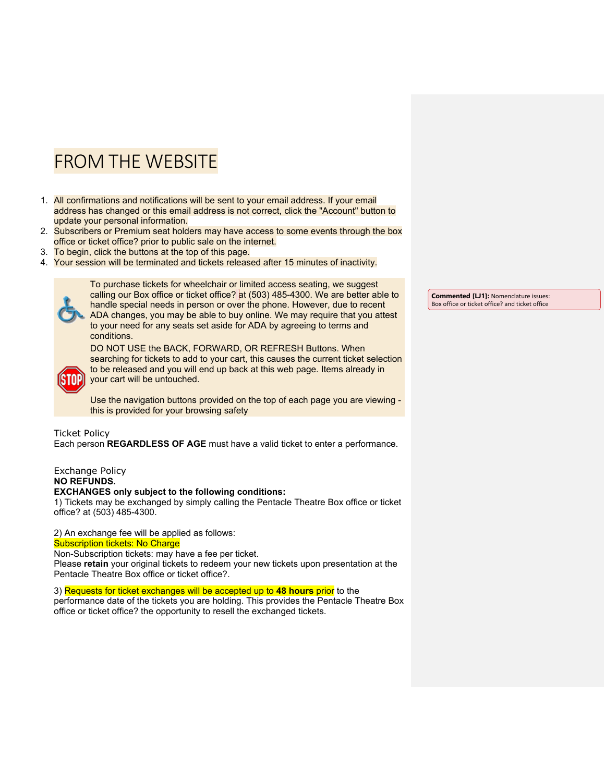## FROM THE WEBSITE

- 1. All confirmations and notifications will be sent to your email address. If your email address has changed or this email address is not correct, click the "Account" button to update your personal information.
- 2. Subscribers or Premium seat holders may have access to some events through the box office or ticket office? prior to public sale on the internet.
- 3. To begin, click the buttons at the top of this page.
- 4. Your session will be terminated and tickets released after 15 minutes of inactivity.



To purchase tickets for wheelchair or limited access seating, we suggest calling our Box office or ticket office? at (503) 485-4300. We are better able to handle special needs in person or over the phone. However, due to recent ADA changes, you may be able to buy online. We may require that you attest to your need for any seats set aside for ADA by agreeing to terms and

conditions. DO NOT USE the BACK, FORWARD, OR REFRESH Buttons. When searching for tickets to add to your cart, this causes the current ticket selection to be released and you will end up back at this web page. Items already in your cart will be untouched.

Use the navigation buttons provided on the top of each page you are viewing this is provided for your browsing safety

#### Ticket Policy

Each person **REGARDLESS OF AGE** must have a valid ticket to enter a performance.

#### Exchange Policy **NO REFUNDS.**

## **EXCHANGES only subject to the following conditions:**

1) Tickets may be exchanged by simply calling the Pentacle Theatre Box office or ticket office? at (503) 485-4300.

2) An exchange fee will be applied as follows:

Subscription tickets: No Charge

Non-Subscription tickets: may have a fee per ticket.

Please **retain** your original tickets to redeem your new tickets upon presentation at the Pentacle Theatre Box office or ticket office?.

3) Requests for ticket exchanges will be accepted up to **48 hours** prior to the

performance date of the tickets you are holding. This provides the Pentacle Theatre Box office or ticket office? the opportunity to resell the exchanged tickets.

**Commented [LJ1]:** Nomenclature issues: Box office or ticket office? and ticket office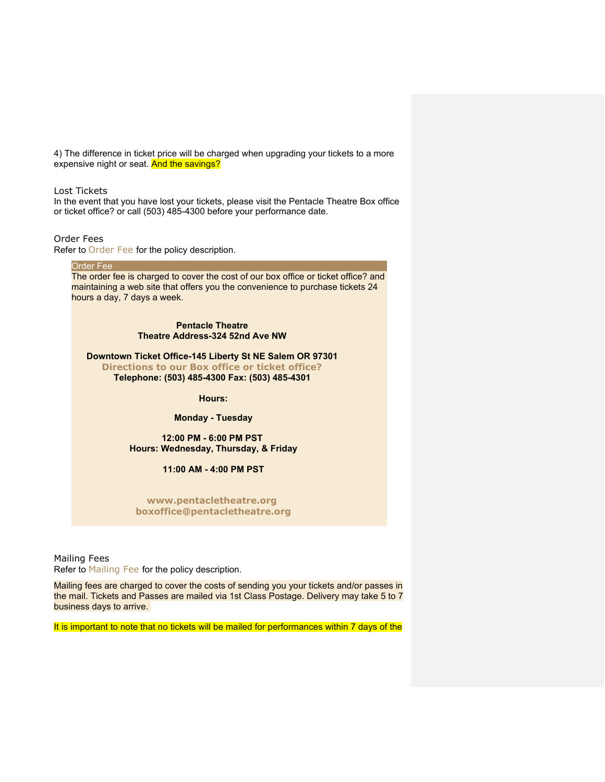4) The difference in ticket price will be charged when upgrading your tickets to a more expensive night or seat. And the savings?

## Lost Tickets

In the event that you have lost your tickets, please visit the Pentacle Theatre Box office or ticket office? or call (503) 485-4300 before your performance date.

## Order Fees

Refer to [Order Fee](https://tickets.pentacletheatre.org/TheatreManager/1/tmFee/tmOrderFeeDefault.html) for the policy description.

## Order Fee

The order fee is charged to cover the cost of our box office or ticket office? and maintaining a web site that offers you the convenience to purchase tickets 24 hours a day, 7 days a week.

## **Pentacle Theatre Theatre Address-324 52nd Ave NW**

**Downtown Ticket Office-145 Liberty St NE Salem OR 97301** 

**[Directions to our Box office or ticket office?](http://maps.google.com/maps?q=Theatre%20Address-324%2052nd%20Ave%20NW%20Downtown%20Ticket%20Office-145%20Liberty%20St%20NE%20Salem%20OR%2097301) Telephone: (503) 485-4300 Fax: (503) 485-4301** 

**Hours:**

**Monday - Tuesday**

**12:00 PM - 6:00 PM PST Hours: Wednesday, Thursday, & Friday**

**11:00 AM - 4:00 PM PST**

**[www.pentacletheatre.org](http://www.pentacletheatre.org/) [boxoffice@pentacletheatre.org](mailto:boxoffice@pentacletheatre.org?subject=Online%20Website%20Inquiry)**

Mailing Fees

Refer to [Mailing Fee](https://tickets.pentacletheatre.org/TheatreManager/1/tmFee/tmMailFeeDefault.html) for the policy description.

Mailing fees are charged to cover the costs of sending you your tickets and/or passes in the mail. Tickets and Passes are mailed via 1st Class Postage. Delivery may take 5 to 7 business days to arrive.

It is important to note that no tickets will be mailed for performances within 7 days of the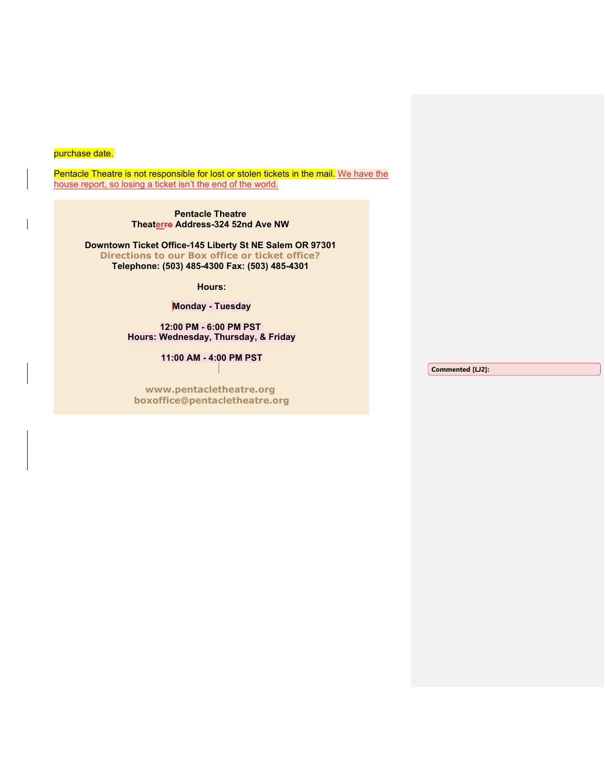purchase date.

Pentacle Theatre is not responsible for lost or stolen tickets in the mail. We have the house report, so losing a ticket isn't the end of the world.

> **Pentacle Theatre Theaterre Address-324 52nd Ave NW**

**Downtown Ticket Office-145 Liberty St NE Salem OR 97301 [Directions to our Box office or ticket office?](http://maps.google.com/maps?q=Theatre%20Address-324%2052nd%20Ave%20NW%20Downtown%20Ticket%20Office-145%20Liberty%20St%20NE%20Salem%20OR%2097301) Telephone: (503) 485-4300 Fax: (503) 485-4301** 

**Hours:**

**Monday - Tuesday**

**12:00 PM - 6:00 PM PST Hours: Wednesday, Thursday, & Friday**

**11:00 AM - 4:00 PM PST**

**[www.pentacletheatre.org](http://www.pentacletheatre.org/) [boxoffice@pentacletheatre.org](mailto:boxoffice@pentacletheatre.org?subject=Online%20Website%20Inquiry)** **Commented [LJ2]:**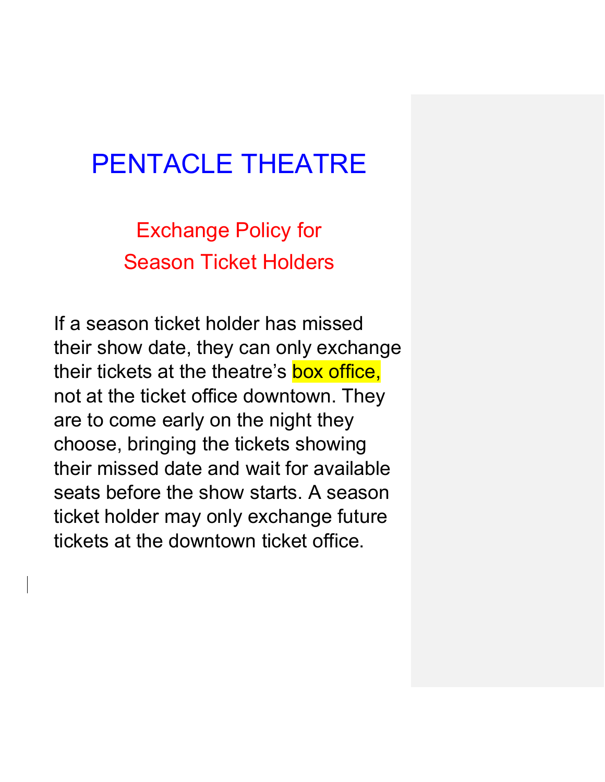# PENTACLE THEATRE

Exchange Policy for Season Ticket Holders

If a season ticket holder has missed their show date, they can only exchange their tickets at the theatre's box office, not at the ticket office downtown. They are to come early on the night they choose, bringing the tickets showing their missed date and wait for available seats before the show starts. A season ticket holder may only exchange future tickets at the downtown ticket office.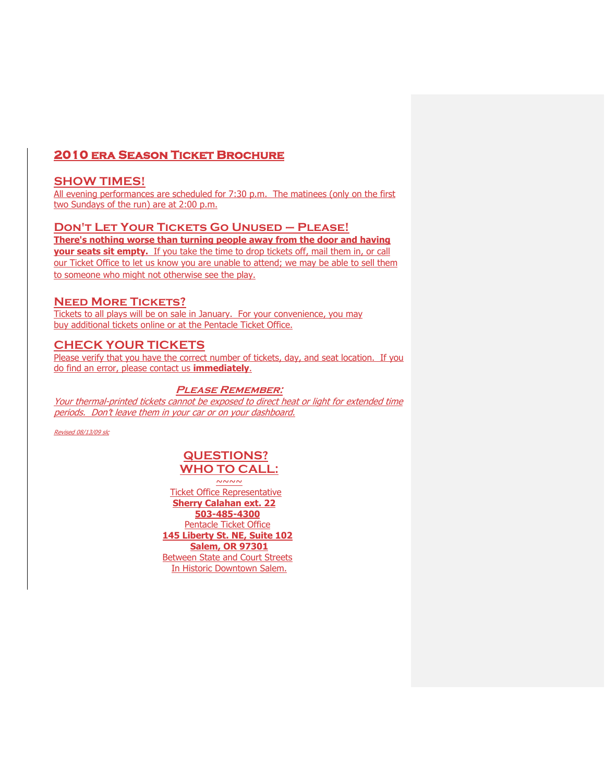## **2010 era Season Ticket Brochure**

## **SHOW TIMES!**

All evening performances are scheduled for 7:30 p.m. The matinees (only on the first two Sundays of the run) are at 2:00 p.m.

## **Don't Let Your Tickets Go Unused – Please!**

**There's nothing worse than turning people away from the door and having your seats sit empty.** If you take the time to drop tickets off, mail them in, or call our Ticket Office to let us know you are unable to attend; we may be able to sell them to someone who might not otherwise see the play.

## **Need More Tickets?**

Tickets to all plays will be on sale in January. For your convenience, you may buy additional tickets online or at the Pentacle Ticket Office.

## **CHECK YOUR TICKETS**

Please verify that you have the correct number of tickets, day, and seat location. If you do find an error, please contact us **immediately**.

## **Please Remember:**

Your thermal-printed tickets cannot be exposed to direct heat or light for extended time periods. Don't leave them in your car or on your dashboard.

Revised 08/13/09 slc

## **QUESTIONS? WHO TO CALL:**

 $~\sim$   $\sim$   $\sim$ Ticket Office Representative **Sherry Calahan ext. 22 503-485-4300** Pentacle Ticket Office **145 Liberty St. NE, Suite 102 Salem, OR 97301** Between State and Court Streets In Historic Downtown Salem.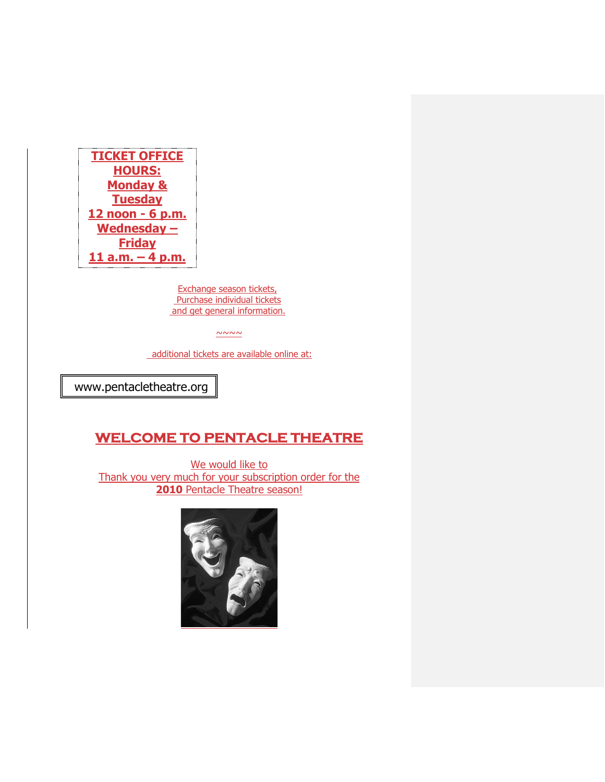

Exchange season tickets, Purchase individual tickets and get general information.

 $~\sim~\sim~\sim~$ 

additional tickets are available online at:

www.pentacletheatre.org

## **WELCOME TO PENTACLE THEATRE**

We would like to Thank you very much for your subscription order for the **2010** Pentacle Theatre season!

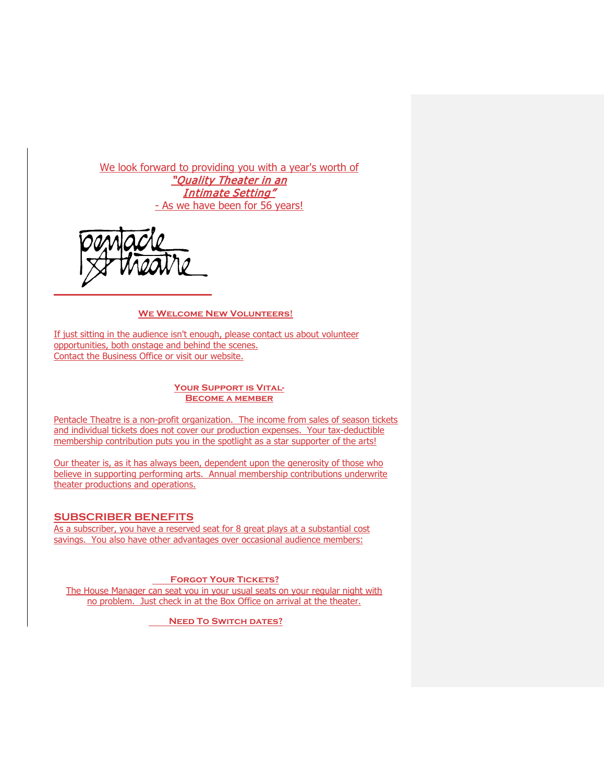We look forward to providing you with a year's worth of "Quality Theater in an Intimate Setting" - As we have been for 56 years!



l,

## **We Welcome New Volunteers!**

If just sitting in the audience isn't enough, please contact us about volunteer opportunities, both onstage and behind the scenes. Contact the Business Office or visit our website.

#### YOUR SUPPORT IS VITAL-**Become a member**

Pentacle Theatre is a non-profit organization. The income from sales of season tickets and individual tickets does not cover our production expenses. Your tax-deductible membership contribution puts you in the spotlight as a star supporter of the arts!

Our theater is, as it has always been, dependent upon the generosity of those who believe in supporting performing arts. Annual membership contributions underwrite theater productions and operations.

## **SUBSCRIBER BENEFITS**

As a subscriber, you have a reserved seat for 8 great plays at a substantial cost savings. You also have other advantages over occasional audience members:

#### **FORGOT YOUR TICKETS?**

The House Manager can seat you in your usual seats on your regular night with no problem. Just check in at the Box Office on arrival at the theater.

 **Need To Switch dates?**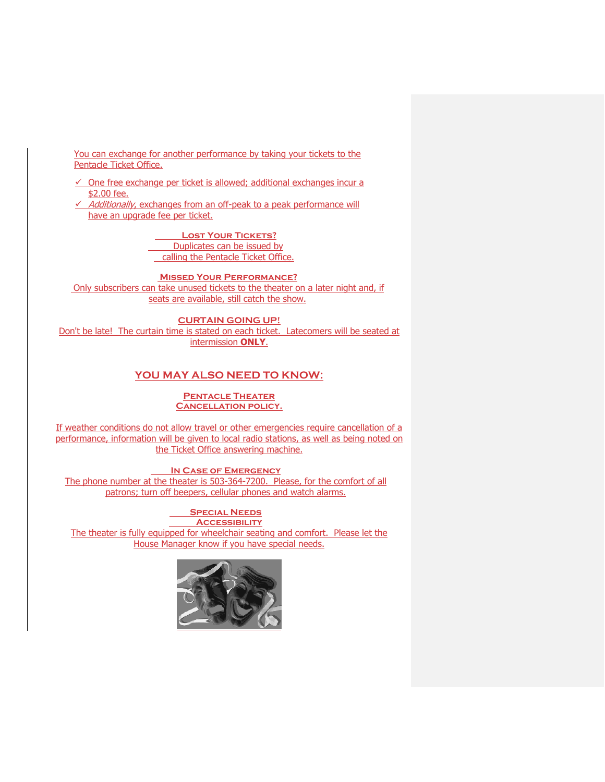You can exchange for another performance by taking your tickets to the Pentacle Ticket Office.

 $\checkmark$  One free exchange per ticket is allowed; additional exchanges incur a \$2.00 fee.

 $\angle$  Additionally, exchanges from an off-peak to a peak performance will have an upgrade fee per ticket.

> **LOST YOUR TICKETS?**  Duplicates can be issued by calling the Pentacle Ticket Office.

**Missed Your Performance?** Only subscribers can take unused tickets to the theater on a later night and, if seats are available, still catch the show.

## **CURTAIN GOING UP!**

Don't be late! The curtain time is stated on each ticket. Latecomers will be seated at intermission **ONLY**.

## **YOU MAY ALSO NEED TO KNOW:**

## **Pentacle Theater Cancellation policy.**

If weather conditions do not allow travel or other emergencies require cancellation of a performance, information will be given to local radio stations, as well as being noted on the Ticket Office answering machine.

 **In Case of Emergency**

The phone number at the theater is 503-364-7200. Please, for the comfort of all patrons; turn off beepers, cellular phones and watch alarms.

> **Special Needs Accessibility**

The theater is fully equipped for wheelchair seating and comfort. Please let the House Manager know if you have special needs.